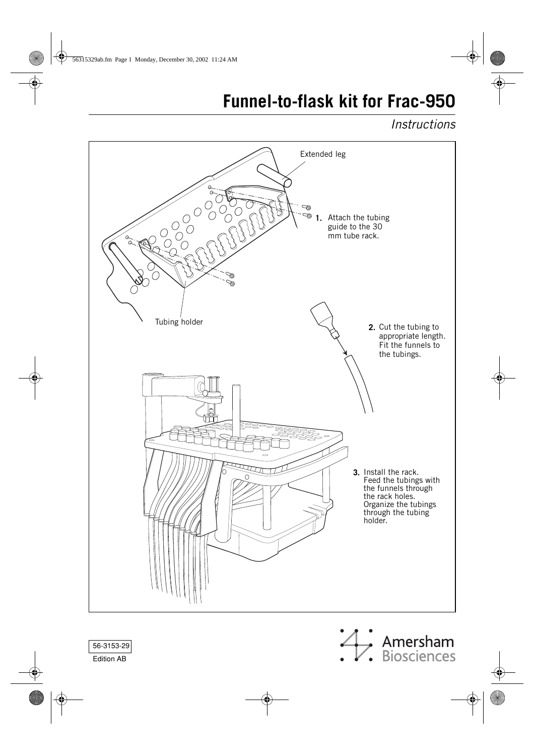# **Funnel-to-flask kit for Frac-950**

# *Instructions*